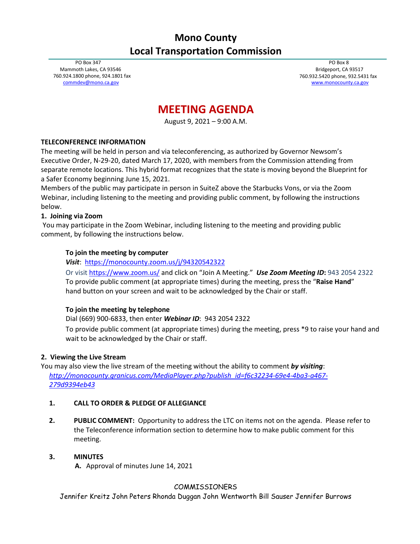## **Mono County Local Transportation Commission**

PO Box 347 Mammoth Lakes, CA 93546 760.924.1800 phone, 924.1801 fax [commdev@mono.ca.gov](mailto:commdev@mono.ca.gov)

PO Box 8 Bridgeport, CA 93517 760.932.5420 phone, 932.5431 fax [www.monocounty.ca.gov](http://www.monocounty.ca.gov/)

# **MEETING AGENDA**

August 9, 2021 – 9:00 A.M.

## **TELECONFERENCE INFORMATION**

The meeting will be held in person and via teleconferencing, as authorized by Governor Newsom's Executive Order, N-29-20, dated March 17, 2020, with members from the Commission attending from separate remote locations. This hybrid format recognizes that the state is moving beyond the Blueprint for a Safer Economy beginning June 15, 2021.

Members of the public may participate in person in SuiteZ above the Starbucks Vons, or via the Zoom Webinar, including listening to the meeting and providing public comment, by following the instructions below.

## **1. Joining via Zoom**

You may participate in the Zoom Webinar, including listening to the meeting and providing public comment, by following the instructions below.

## **To join the meeting by computer**

*Visit*:<https://monocounty.zoom.us/j/94320542322>

Or visit<https://www.zoom.us/> and click on "Join A Meeting."*Use Zoom Meeting ID***:** 943 2054 2322 To provide public comment (at appropriate times) during the meeting, press the "**Raise Hand**" hand button on your screen and wait to be acknowledged by the Chair or staff.

## **To join the meeting by telephone**

Dial (669) 900-6833, then enter *Webinar ID*: 943 2054 2322

To provide public comment (at appropriate times) during the meeting, press \*9 to raise your hand and wait to be acknowledged by the Chair or staff.

#### **2. Viewing the Live Stream**

You may also view the live stream of the meeting without the ability to comment *by visiting*: *[http://monocounty.granicus.com/MediaPlayer.php?publish\\_id=f6c32234-69e4-4ba3-a467-](http://monocounty.granicus.com/MediaPlayer.php?publish_id=f6c32234-69e4-4ba3-a467-279d9394eb43) [279d9394eb43](http://monocounty.granicus.com/MediaPlayer.php?publish_id=f6c32234-69e4-4ba3-a467-279d9394eb43)*

#### **1. CALL TO ORDER & PLEDGE OF ALLEGIANCE**

**2. PUBLIC COMMENT:** Opportunity to address the LTC on items not on the agenda. Please refer to the Teleconference information section to determine how to make public comment for this meeting.

#### **3. MINUTES**

**A.** Approval of minutes June 14, 2021

## COMMISSIONERS

Jennifer Kreitz John Peters Rhonda Duggan John Wentworth Bill Sauser Jennifer Burrows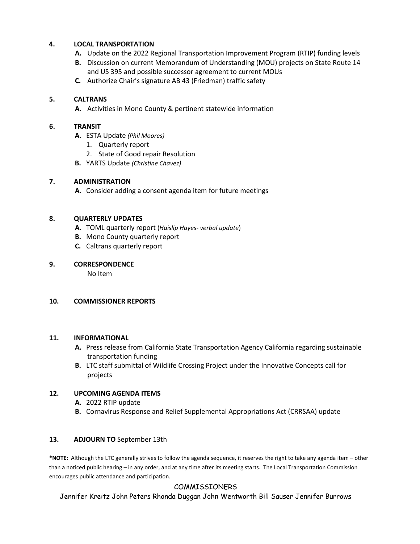## **4. LOCAL TRANSPORTATION**

- **A.** Update on the 2022 Regional Transportation Improvement Program (RTIP) funding levels
- **B.** Discussion on current Memorandum of Understanding (MOU) projects on State Route 14 and US 395 and possible successor agreement to current MOUs
- **C.** Authorize Chair's signature AB 43 (Friedman) traffic safety

## **5. CALTRANS**

**A.** Activities in Mono County & pertinent statewide information

#### **6. TRANSIT**

- **A.** ESTA Update *(Phil Moores)*
	- 1. Quarterly report
	- 2. State of Good repair Resolution
- **B.** YARTS Update *(Christine Chavez)*

## **7. ADMINISTRATION**

**A.** Consider adding a consent agenda item for future meetings

## **8. QUARTERLY UPDATES**

- **A.** TOML quarterly report (*Haislip Hayes- verbal update*)
- **B.** Mono County quarterly report
- **C.** Caltrans quarterly report

#### **9. CORRESPONDENCE**

No Item

#### **10. COMMISSIONER REPORTS**

#### **11. INFORMATIONAL**

- **A.** Press release from California State Transportation Agency California regarding sustainable transportation funding
- **B.** LTC staff submittal of Wildlife Crossing Project under the Innovative Concepts call for projects

#### **12. UPCOMING AGENDA ITEMS**

- **A.** 2022 RTIP update
- **B.** Cornavirus Response and Relief Supplemental Appropriations Act (CRRSAA) update

#### **13. ADJOURN TO** September 13th

**\*NOTE**: Although the LTC generally strives to follow the agenda sequence, it reserves the right to take any agenda item – other than a noticed public hearing – in any order, and at any time after its meeting starts. The Local Transportation Commission encourages public attendance and participation.

## COMMISSIONERS

Jennifer Kreitz John Peters Rhonda Duggan John Wentworth Bill Sauser Jennifer Burrows